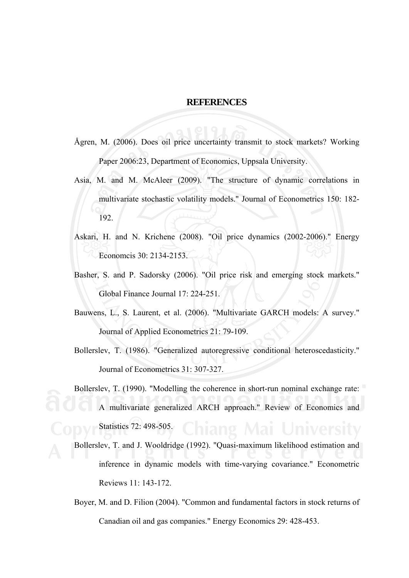## **REFERENCES**

- Ågren, M. (2006). Does oil price uncertainty transmit to stock markets? Working Paper 2006:23, Department of Economics, Uppsala University.
- Asia, M. and M. McAleer (2009). "The structure of dynamic correlations in multivariate stochastic volatility models." Journal of Econometrics 150: 182- 192.
- Askari, H. and N. Krichene (2008). "Oil price dynamics (2002-2006)." Energy Economcis 30: 2134-2153.
- Basher, S. and P. Sadorsky (2006). "Oil price risk and emerging stock markets." Global Finance Journal 17: 224-251.
- Bauwens, L., S. Laurent, et al. (2006). "Multivariate GARCH models: A survey." Journal of Applied Econometrics 21: 79-109.
- Bollerslev, T. (1986). "Generalized autoregressive conditional heteroscedasticity." Journal of Econometrics 31: 307-327.
- Bollerslev, T. (1990). "Modelling the coherence in short-run nominal exchange rate: A multivariate generalized ARCH approach." Review of Economics and Statistics 72: 498-505.
- Bollerslev, T. and J. Wooldridge (1992). "Quasi-maximum likelihood estimation and inference in dynamic models with time-varying covariance." Econometric Reviews 11: 143-172.
- Boyer, M. and D. Filion (2004). "Common and fundamental factors in stock returns of Canadian oil and gas companies." Energy Economics 29: 428-453.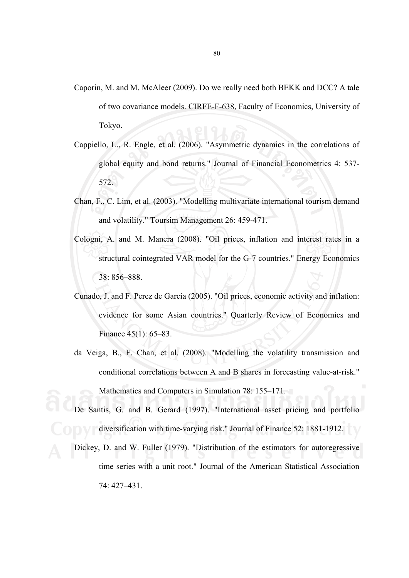- Caporin, M. and M. McAleer (2009). Do we really need both BEKK and DCC? A tale of two covariance models. CIRFE-F-638, Faculty of Economics, University of Tokyo.
- Cappiello, L., R. Engle, et al. (2006). "Asymmetric dynamics in the correlations of global equity and bond returns." Journal of Financial Econometrics 4: 537- 572.
- Chan, F., C. Lim, et al. (2003). "Modelling multivariate international tourism demand and volatility." Toursim Management 26: 459-471.
- Cologni, A. and M. Manera (2008). "Oil prices, inflation and interest rates in a structural cointegrated VAR model for the G-7 countries." Energy Economics 38: 856–888.
- Cunado, J. and F. Perez de Garcia (2005). "Oil prices, economic activity and inflation: evidence for some Asian countries." Quarterly Review of Economics and Finance 45(1): 65–83.
- da Veiga, B., F. Chan, et al. (2008). "Modelling the volatility transmission and conditional correlations between A and B shares in forecasting value-at-risk." Mathematics and Computers in Simulation 78: 155–171.
- De Santis, G. and B. Gerard (1997). "International asset pricing and portfolio diversification with time-varying risk." Journal of Finance 52: 1881-1912.
- Dickey, D. and W. Fuller (1979). "Distribution of the estimators for autoregressive time series with a unit root." Journal of the American Statistical Association 74: 427–431.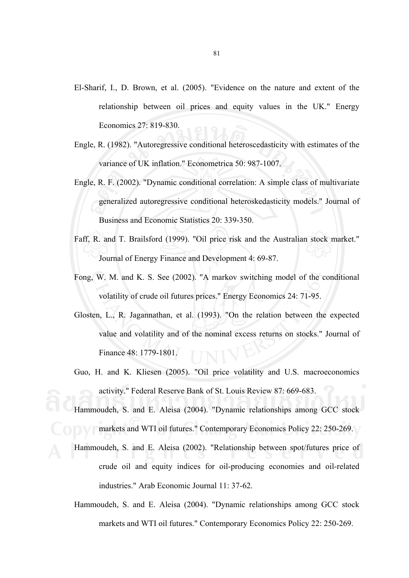- El-Sharif, I., D. Brown, et al. (2005). "Evidence on the nature and extent of the relationship between oil prices and equity values in the UK." Energy Economics 27: 819-830.
- Engle, R. (1982). "Autoregressive conditional heteroscedasticity with estimates of the variance of UK inflation." Econometrica 50: 987-1007.
- Engle, R. F. (2002). "Dynamic conditional correlation: A simple class of multivariate generalized autoregressive conditional heteroskedasticity models." Journal of Business and Economic Statistics 20: 339-350.
- Faff, R. and T. Brailsford (1999). "Oil price risk and the Australian stock market." Journal of Energy Finance and Development 4: 69-87.
- Fong, W. M. and K. S. See (2002). "A markov switching model of the conditional volatility of crude oil futures prices." Energy Economics 24: 71-95.
- Glosten, L., R. Jagannathan, et al. (1993). "On the relation between the expected value and volatility and of the nominal excess returns on stocks." Journal of Finance 48: 1779-1801.
- Guo, H. and K. Kliesen (2005). "Oil price volatility and U.S. macroeconomics activity." Federal Reserve Bank of St. Louis Review 87: 669-683.
- Hammoudeh, S. and E. Aleisa (2004). "Dynamic relationships among GCC stock markets and WTI oil futures." Contemporary Economics Policy 22: 250-269.
- Hammoudeh, S. and E. Aleisa (2002). "Relationship between spot/futures price of crude oil and equity indices for oil-producing economies and oil-related industries." Arab Economic Journal 11: 37-62.
- Hammoudeh, S. and E. Aleisa (2004). "Dynamic relationships among GCC stock markets and WTI oil futures." Contemporary Economics Policy 22: 250-269.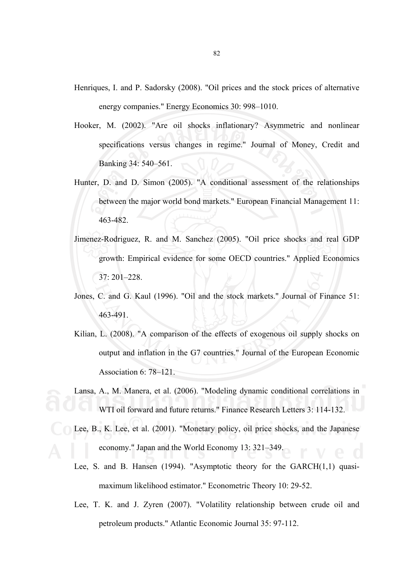- Henriques, I. and P. Sadorsky (2008). "Oil prices and the stock prices of alternative energy companies." Energy Economics 30: 998–1010.
- Hooker, M. (2002). "Are oil shocks inflationary? Asymmetric and nonlinear specifications versus changes in regime." Journal of Money, Credit and Banking 34: 540–561.
- Hunter, D. and D. Simon (2005). "A conditional assessment of the relationships between the major world bond markets." European Financial Management 11: 463-482.
- Jimenez-Rodriguez, R. and M. Sanchez (2005). "Oil price shocks and real GDP growth: Empirical evidence for some OECD countries." Applied Economics 37: 201–228.
- Jones, C. and G. Kaul (1996). "Oil and the stock markets." Journal of Finance 51: 463-491.
- Kilian, L. (2008). "A comparison of the effects of exogenous oil supply shocks on output and inflation in the G7 countries." Journal of the European Economic Association 6: 78–121.
- Lansa, A., M. Manera, et al. (2006). "Modeling dynamic conditional correlations in WTI oil forward and future returns." Finance Research Letters 3: 114-132.
- Lee, B., K. Lee, et al. (2001). "Monetary policy, oil price shocks, and the Japanese economy." Japan and the World Economy 13: 321–349.
- Lee, S. and B. Hansen (1994). "Asymptotic theory for the GARCH(1,1) quasimaximum likelihood estimator." Econometric Theory 10: 29-52.
- Lee, T. K. and J. Zyren (2007). "Volatility relationship between crude oil and petroleum products." Atlantic Economic Journal 35: 97-112.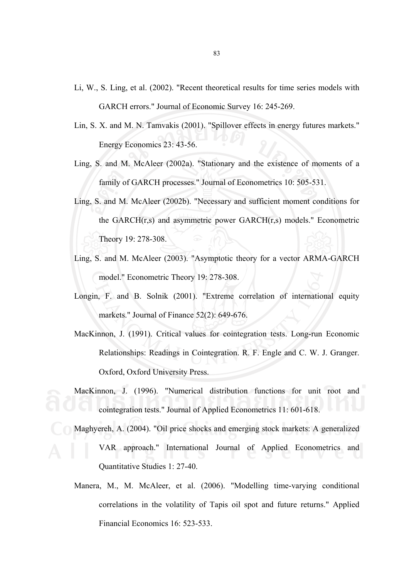- Li, W., S. Ling, et al. (2002). "Recent theoretical results for time series models with GARCH errors." Journal of Economic Survey 16: 245-269.
- Lin, S. X. and M. N. Tamvakis (2001). "Spillover effects in energy futures markets." Energy Economics 23: 43-56.
- Ling, S. and M. McAleer (2002a). "Stationary and the existence of moments of a family of GARCH processes." Journal of Econometrics 10: 505-531.
- Ling, S. and M. McAleer (2002b). "Necessary and sufficient moment conditions for the GARCH(r,s) and asymmetric power GARCH(r,s) models." Econometric Theory 19: 278-308.
- Ling, S. and M. McAleer (2003). "Asymptotic theory for a vector ARMA-GARCH model." Econometric Theory 19: 278-308.
- Longin, F. and B. Solnik (2001). "Extreme correlation of international equity markets." Journal of Finance 52(2): 649-676.
- MacKinnon, J. (1991). Critical values for cointegration tests. Long-run Economic Relationships: Readings in Cointegration. R. F. Engle and C. W. J. Granger. Oxford, Oxford University Press.
- MacKinnon, J. (1996). "Numerical distribution functions for unit root and cointegration tests." Journal of Applied Econometrics 11: 601-618.
- Maghyereh, A. (2004). "Oil price shocks and emerging stock markets: A generalized VAR approach." International Journal of Applied Econometrics and Quantitative Studies 1: 27-40.
- Manera, M., M. McAleer, et al. (2006). "Modelling time-varying conditional correlations in the volatility of Tapis oil spot and future returns." Applied Financial Economics 16: 523-533.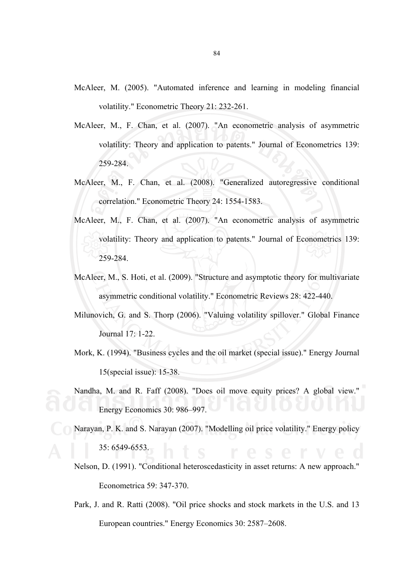- McAleer, M. (2005). "Automated inference and learning in modeling financial volatility." Econometric Theory 21: 232-261.
- McAleer, M., F. Chan, et al. (2007). "An econometric analysis of asymmetric volatility: Theory and application to patents." Journal of Econometrics 139: 259-284.
- McAleer, M., F. Chan, et al. (2008). "Generalized autoregressive conditional correlation." Econometric Theory 24: 1554-1583.
- McAleer, M., F. Chan, et al. (2007). "An econometric analysis of asymmetric volatility: Theory and application to patents." Journal of Econometrics 139: 259-284.
- McAleer, M., S. Hoti, et al. (2009). "Structure and asymptotic theory for multivariate asymmetric conditional volatility." Econometric Reviews 28: 422-440.
- Milunovich, G. and S. Thorp (2006). "Valuing volatility spillover." Global Finance Journal 17: 1-22.
- Mork, K. (1994). "Business cycles and the oil market (special issue)." Energy Journal 15(special issue): 15-38.
- Nandha, M. and R. Faff (2008). "Does oil move equity prices? A global view." Energy Economics 30: 986–997.
- Narayan, P. K. and S. Narayan (2007). "Modelling oil price volatility." Energy policy 35: 6549-6553.
- Nelson, D. (1991). "Conditional heteroscedasticity in asset returns: A new approach." Econometrica 59: 347-370.
- Park, J. and R. Ratti (2008). "Oil price shocks and stock markets in the U.S. and 13 European countries." Energy Economics 30: 2587–2608.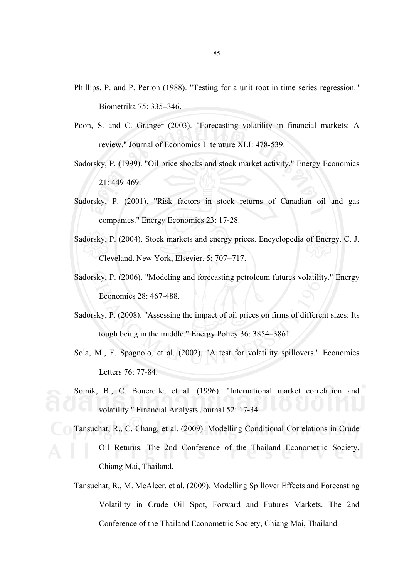- Phillips, P. and P. Perron (1988). "Testing for a unit root in time series regression." Biometrika 75: 335–346.
- Poon, S. and C. Granger (2003). "Forecasting volatility in financial markets: A review." Journal of Economics Literature XLI: 478-539.
- Sadorsky, P. (1999). "Oil price shocks and stock market activity." Energy Economics 21: 449-469.
- Sadorsky, P. (2001). "Risk factors in stock returns of Canadian oil and gas companies." Energy Economics 23: 17-28.
- Sadorsky, P. (2004). Stock markets and energy prices. Encyclopedia of Energy. C. J. Cleveland. New York, Elsevier. 5: 707−717.
- Sadorsky, P. (2006). "Modeling and forecasting petroleum futures volatility." Energy Economics 28: 467-488.
- Sadorsky, P. (2008). "Assessing the impact of oil prices on firms of different sizes: Its tough being in the middle." Energy Policy 36: 3854–3861.
- Sola, M., F. Spagnolo, et al. (2002). "A test for volatility spillovers." Economics Letters 76: 77-84.
- Solnik, B., C. Boucrelle, et al. (1996). "International market correlation and volatility." Financial Analysts Journal 52: 17-34.
- Tansuchat, R., C. Chang, et al. (2009). Modelling Conditional Correlations in Crude Oil Returns. The 2nd Conference of the Thailand Econometric Society, Chiang Mai, Thailand.
- Tansuchat, R., M. McAleer, et al. (2009). Modelling Spillover Effects and Forecasting Volatility in Crude Oil Spot, Forward and Futures Markets. The 2nd Conference of the Thailand Econometric Society, Chiang Mai, Thailand.